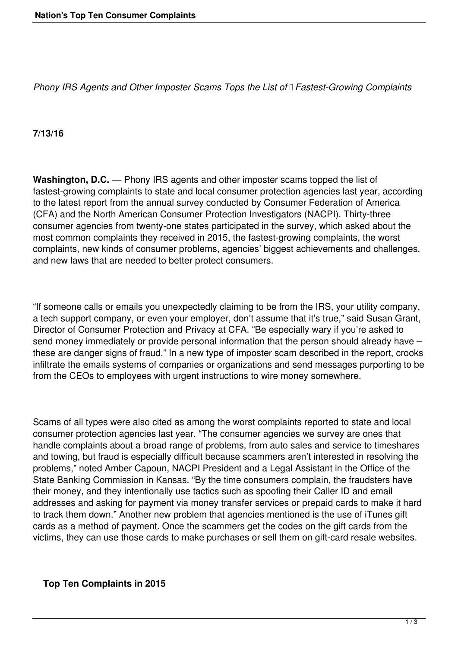*Phony IRS Agents and Other Imposter Scams Tops the List of Fastest-Growing Complaints*

## **7/13/16**

**Washington, D.C.** — Phony IRS agents and other imposter scams topped the list of fastest-growing complaints to state and local consumer protection agencies last year, according to the latest report from the annual survey conducted by Consumer Federation of America (CFA) and the North American Consumer Protection Investigators (NACPI). Thirty-three consumer agencies from twenty-one states participated in the survey, which asked about the most common complaints they received in 2015, the fastest-growing complaints, the worst complaints, new kinds of consumer problems, agencies' biggest achievements and challenges, and new laws that are needed to better protect consumers.

"If someone calls or emails you unexpectedly claiming to be from the IRS, your utility company, a tech support company, or even your employer, don't assume that it's true," said Susan Grant, Director of Consumer Protection and Privacy at CFA. "Be especially wary if you're asked to send money immediately or provide personal information that the person should already have – these are danger signs of fraud." In a new type of imposter scam described in the report, crooks infiltrate the emails systems of companies or organizations and send messages purporting to be from the CEOs to employees with urgent instructions to wire money somewhere.

Scams of all types were also cited as among the worst complaints reported to state and local consumer protection agencies last year. "The consumer agencies we survey are ones that handle complaints about a broad range of problems, from auto sales and service to timeshares and towing, but fraud is especially difficult because scammers aren't interested in resolving the problems," noted Amber Capoun, NACPI President and a Legal Assistant in the Office of the State Banking Commission in Kansas. "By the time consumers complain, the fraudsters have their money, and they intentionally use tactics such as spoofing their Caller ID and email addresses and asking for payment via money transfer services or prepaid cards to make it hard to track them down." Another new problem that agencies mentioned is the use of iTunes gift cards as a method of payment. Once the scammers get the codes on the gift cards from the victims, they can use those cards to make purchases or sell them on gift-card resale websites.

## **Top Ten Complaints in 2015**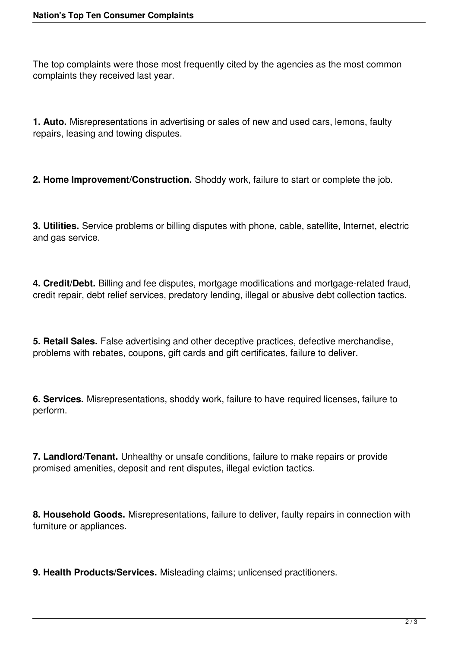The top complaints were those most frequently cited by the agencies as the most common complaints they received last year.

**1. Auto.** Misrepresentations in advertising or sales of new and used cars, lemons, faulty repairs, leasing and towing disputes.

**2. Home Improvement/Construction.** Shoddy work, failure to start or complete the job.

**3. Utilities.** Service problems or billing disputes with phone, cable, satellite, Internet, electric and gas service.

**4. Credit/Debt.** Billing and fee disputes, mortgage modifications and mortgage-related fraud, credit repair, debt relief services, predatory lending, illegal or abusive debt collection tactics.

**5. Retail Sales.** False advertising and other deceptive practices, defective merchandise, problems with rebates, coupons, gift cards and gift certificates, failure to deliver.

**6. Services.** Misrepresentations, shoddy work, failure to have required licenses, failure to perform.

**7. Landlord/Tenant.** Unhealthy or unsafe conditions, failure to make repairs or provide promised amenities, deposit and rent disputes, illegal eviction tactics.

**8. Household Goods.** Misrepresentations, failure to deliver, faulty repairs in connection with furniture or appliances.

**9. Health Products/Services.** Misleading claims; unlicensed practitioners.